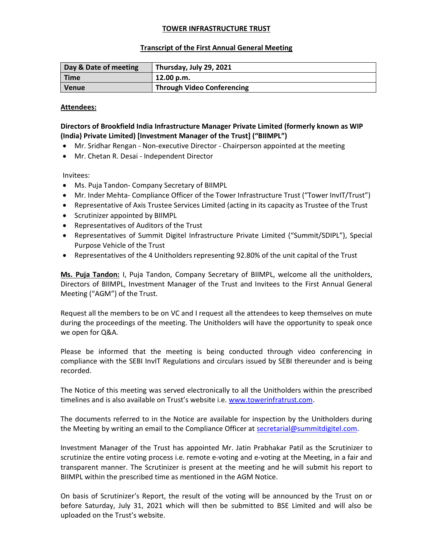## TOWER INFRASTRUCTURE TRUST

## Transcript of the First Annual General Meeting

| Day & Date of meeting | Thursday, July 29, 2021           |
|-----------------------|-----------------------------------|
| <b>Time</b>           | 12.00 p.m.                        |
| <b>Venue</b>          | <b>Through Video Conferencing</b> |

## Attendees:

# Directors of Brookfield India Infrastructure Manager Private Limited (formerly known as WIP (India) Private Limited) [Investment Manager of the Trust] ("BIIMPL")

- Mr. Sridhar Rengan Non-executive Director Chairperson appointed at the meeting
- Mr. Chetan R. Desai Independent Director

Invitees:

- Ms. Puja Tandon- Company Secretary of BIIMPL
- Mr. Inder Mehta- Compliance Officer of the Tower Infrastructure Trust ("Tower InvIT/Trust")
- Representative of Axis Trustee Services Limited (acting in its capacity as Trustee of the Trust
- Scrutinizer appointed by BIIMPL
- Representatives of Auditors of the Trust
- Representatives of Summit Digitel Infrastructure Private Limited ("Summit/SDIPL"), Special Purpose Vehicle of the Trust
- Representatives of the 4 Unitholders representing 92.80% of the unit capital of the Trust

Ms. Puja Tandon: I, Puja Tandon, Company Secretary of BIIMPL, welcome all the unitholders, Directors of BIIMPL, Investment Manager of the Trust and Invitees to the First Annual General Meeting ("AGM") of the Trust.

Request all the members to be on VC and I request all the attendees to keep themselves on mute during the proceedings of the meeting. The Unitholders will have the opportunity to speak once we open for Q&A.

Please be informed that the meeting is being conducted through video conferencing in compliance with the SEBI InvIT Regulations and circulars issued by SEBI thereunder and is being recorded.

The Notice of this meeting was served electronically to all the Unitholders within the prescribed timelines and is also available on Trust's website i.e. www.towerinfratrust.com.

The documents referred to in the Notice are available for inspection by the Unitholders during the Meeting by writing an email to the Compliance Officer at secretarial@summitdigitel.com.

Investment Manager of the Trust has appointed Mr. Jatin Prabhakar Patil as the Scrutinizer to scrutinize the entire voting process i.e. remote e-voting and e-voting at the Meeting, in a fair and transparent manner. The Scrutinizer is present at the meeting and he will submit his report to BIIMPL within the prescribed time as mentioned in the AGM Notice.

On basis of Scrutinizer's Report, the result of the voting will be announced by the Trust on or before Saturday, July 31, 2021 which will then be submitted to BSE Limited and will also be uploaded on the Trust's website.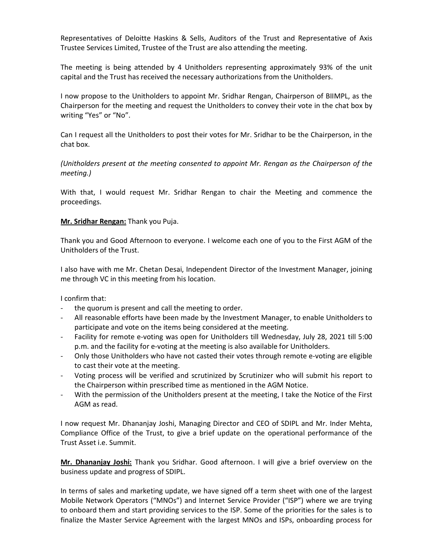Representatives of Deloitte Haskins & Sells, Auditors of the Trust and Representative of Axis Trustee Services Limited, Trustee of the Trust are also attending the meeting.

The meeting is being attended by 4 Unitholders representing approximately 93% of the unit capital and the Trust has received the necessary authorizations from the Unitholders.

I now propose to the Unitholders to appoint Mr. Sridhar Rengan, Chairperson of BIIMPL, as the Chairperson for the meeting and request the Unitholders to convey their vote in the chat box by writing "Yes" or "No".

Can I request all the Unitholders to post their votes for Mr. Sridhar to be the Chairperson, in the chat box.

(Unitholders present at the meeting consented to appoint Mr. Rengan as the Chairperson of the meeting.)

With that, I would request Mr. Sridhar Rengan to chair the Meeting and commence the proceedings.

### Mr. Sridhar Rengan: Thank you Puja.

Thank you and Good Afternoon to everyone. I welcome each one of you to the First AGM of the Unitholders of the Trust.

I also have with me Mr. Chetan Desai, Independent Director of the Investment Manager, joining me through VC in this meeting from his location.

I confirm that:

- the quorum is present and call the meeting to order.
- All reasonable efforts have been made by the Investment Manager, to enable Unitholders to participate and vote on the items being considered at the meeting.
- Facility for remote e-voting was open for Unitholders till Wednesday, July 28, 2021 till 5:00 p.m. and the facility for e-voting at the meeting is also available for Unitholders.
- Only those Unitholders who have not casted their votes through remote e-voting are eligible to cast their vote at the meeting.
- Voting process will be verified and scrutinized by Scrutinizer who will submit his report to the Chairperson within prescribed time as mentioned in the AGM Notice.
- With the permission of the Unitholders present at the meeting, I take the Notice of the First AGM as read.

I now request Mr. Dhananjay Joshi, Managing Director and CEO of SDIPL and Mr. Inder Mehta, Compliance Office of the Trust, to give a brief update on the operational performance of the Trust Asset i.e. Summit.

Mr. Dhananjay Joshi: Thank you Sridhar. Good afternoon. I will give a brief overview on the business update and progress of SDIPL.

In terms of sales and marketing update, we have signed off a term sheet with one of the largest Mobile Network Operators ("MNOs") and Internet Service Provider ("ISP") where we are trying to onboard them and start providing services to the ISP. Some of the priorities for the sales is to finalize the Master Service Agreement with the largest MNOs and ISPs, onboarding process for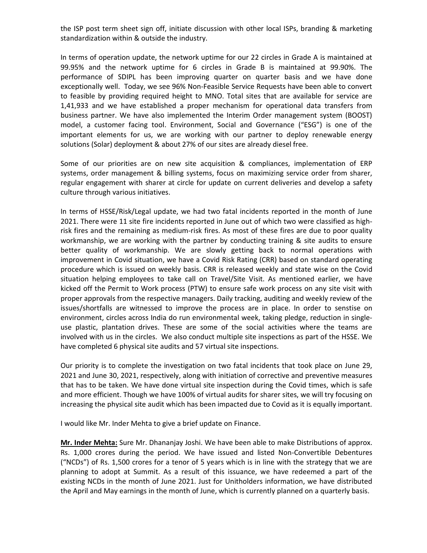the ISP post term sheet sign off, initiate discussion with other local ISPs, branding & marketing standardization within & outside the industry.

In terms of operation update, the network uptime for our 22 circles in Grade A is maintained at 99.95% and the network uptime for 6 circles in Grade B is maintained at 99.90%. The performance of SDIPL has been improving quarter on quarter basis and we have done exceptionally well. Today, we see 96% Non-Feasible Service Requests have been able to convert to feasible by providing required height to MNO. Total sites that are available for service are 1,41,933 and we have established a proper mechanism for operational data transfers from business partner. We have also implemented the Interim Order management system (BOOST) model, a customer facing tool. Environment, Social and Governance ("ESG") is one of the important elements for us, we are working with our partner to deploy renewable energy solutions (Solar) deployment & about 27% of our sites are already diesel free.

Some of our priorities are on new site acquisition & compliances, implementation of ERP systems, order management & billing systems, focus on maximizing service order from sharer, regular engagement with sharer at circle for update on current deliveries and develop a safety culture through various initiatives.

In terms of HSSE/Risk/Legal update, we had two fatal incidents reported in the month of June 2021. There were 11 site fire incidents reported in June out of which two were classified as highrisk fires and the remaining as medium-risk fires. As most of these fires are due to poor quality workmanship, we are working with the partner by conducting training & site audits to ensure better quality of workmanship. We are slowly getting back to normal operations with improvement in Covid situation, we have a Covid Risk Rating (CRR) based on standard operating procedure which is issued on weekly basis. CRR is released weekly and state wise on the Covid situation helping employees to take call on Travel/Site Visit. As mentioned earlier, we have kicked off the Permit to Work process (PTW) to ensure safe work process on any site visit with proper approvals from the respective managers. Daily tracking, auditing and weekly review of the issues/shortfalls are witnessed to improve the process are in place. In order to senstise on environment, circles across India do run environmental week, taking pledge, reduction in singleuse plastic, plantation drives. These are some of the social activities where the teams are involved with us in the circles. We also conduct multiple site inspections as part of the HSSE. We have completed 6 physical site audits and 57 virtual site inspections.

Our priority is to complete the investigation on two fatal incidents that took place on June 29, 2021 and June 30, 2021, respectively, along with initiation of corrective and preventive measures that has to be taken. We have done virtual site inspection during the Covid times, which is safe and more efficient. Though we have 100% of virtual audits for sharer sites, we will try focusing on increasing the physical site audit which has been impacted due to Covid as it is equally important.

I would like Mr. Inder Mehta to give a brief update on Finance.

Mr. Inder Mehta: Sure Mr. Dhananjay Joshi. We have been able to make Distributions of approx. Rs. 1,000 crores during the period. We have issued and listed Non-Convertible Debentures ("NCDs") of Rs. 1,500 crores for a tenor of 5 years which is in line with the strategy that we are planning to adopt at Summit. As a result of this issuance, we have redeemed a part of the existing NCDs in the month of June 2021. Just for Unitholders information, we have distributed the April and May earnings in the month of June, which is currently planned on a quarterly basis.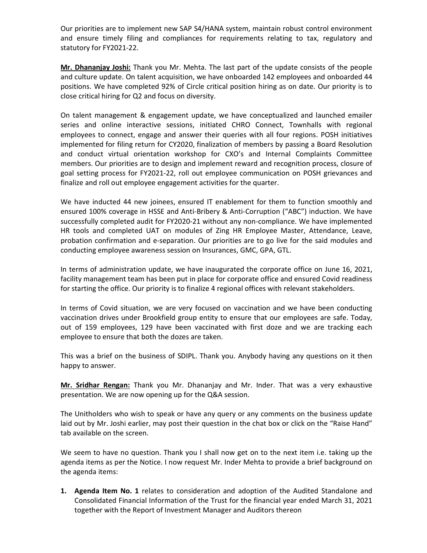Our priorities are to implement new SAP S4/HANA system, maintain robust control environment and ensure timely filing and compliances for requirements relating to tax, regulatory and statutory for FY2021-22.

Mr. Dhananjay Joshi: Thank you Mr. Mehta. The last part of the update consists of the people and culture update. On talent acquisition, we have onboarded 142 employees and onboarded 44 positions. We have completed 92% of Circle critical position hiring as on date. Our priority is to close critical hiring for Q2 and focus on diversity.

On talent management & engagement update, we have conceptualized and launched emailer series and online interactive sessions, initiated CHRO Connect, Townhalls with regional employees to connect, engage and answer their queries with all four regions. POSH initiatives implemented for filing return for CY2020, finalization of members by passing a Board Resolution and conduct virtual orientation workshop for CXO's and Internal Complaints Committee members. Our priorities are to design and implement reward and recognition process, closure of goal setting process for FY2021-22, roll out employee communication on POSH grievances and finalize and roll out employee engagement activities for the quarter.

We have inducted 44 new joinees, ensured IT enablement for them to function smoothly and ensured 100% coverage in HSSE and Anti-Bribery & Anti-Corruption ("ABC") induction. We have successfully completed audit for FY2020-21 without any non-compliance. We have implemented HR tools and completed UAT on modules of Zing HR Employee Master, Attendance, Leave, probation confirmation and e-separation. Our priorities are to go live for the said modules and conducting employee awareness session on Insurances, GMC, GPA, GTL.

In terms of administration update, we have inaugurated the corporate office on June 16, 2021, facility management team has been put in place for corporate office and ensured Covid readiness for starting the office. Our priority is to finalize 4 regional offices with relevant stakeholders.

In terms of Covid situation, we are very focused on vaccination and we have been conducting vaccination drives under Brookfield group entity to ensure that our employees are safe. Today, out of 159 employees, 129 have been vaccinated with first doze and we are tracking each employee to ensure that both the dozes are taken.

This was a brief on the business of SDIPL. Thank you. Anybody having any questions on it then happy to answer.

Mr. Sridhar Rengan: Thank you Mr. Dhananjay and Mr. Inder. That was a very exhaustive presentation. We are now opening up for the Q&A session.

The Unitholders who wish to speak or have any query or any comments on the business update laid out by Mr. Joshi earlier, may post their question in the chat box or click on the "Raise Hand" tab available on the screen.

We seem to have no question. Thank you I shall now get on to the next item i.e. taking up the agenda items as per the Notice. I now request Mr. Inder Mehta to provide a brief background on the agenda items:

1. Agenda Item No. 1 relates to consideration and adoption of the Audited Standalone and Consolidated Financial Information of the Trust for the financial year ended March 31, 2021 together with the Report of Investment Manager and Auditors thereon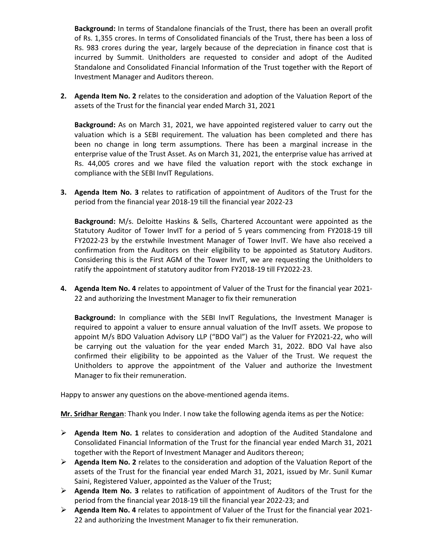Background: In terms of Standalone financials of the Trust, there has been an overall profit of Rs. 1,355 crores. In terms of Consolidated financials of the Trust, there has been a loss of Rs. 983 crores during the year, largely because of the depreciation in finance cost that is incurred by Summit. Unitholders are requested to consider and adopt of the Audited Standalone and Consolidated Financial Information of the Trust together with the Report of Investment Manager and Auditors thereon.

2. Agenda Item No. 2 relates to the consideration and adoption of the Valuation Report of the assets of the Trust for the financial year ended March 31, 2021

Background: As on March 31, 2021, we have appointed registered valuer to carry out the valuation which is a SEBI requirement. The valuation has been completed and there has been no change in long term assumptions. There has been a marginal increase in the enterprise value of the Trust Asset. As on March 31, 2021, the enterprise value has arrived at Rs. 44,005 crores and we have filed the valuation report with the stock exchange in compliance with the SEBI InvIT Regulations.

**3.** Agenda Item No. 3 relates to ratification of appointment of Auditors of the Trust for the period from the financial year 2018-19 till the financial year 2022-23

Background: M/s. Deloitte Haskins & Sells, Chartered Accountant were appointed as the Statutory Auditor of Tower InvIT for a period of 5 years commencing from FY2018-19 till FY2022-23 by the erstwhile Investment Manager of Tower InvIT. We have also received a confirmation from the Auditors on their eligibility to be appointed as Statutory Auditors. Considering this is the First AGM of the Tower InvIT, we are requesting the Unitholders to ratify the appointment of statutory auditor from FY2018-19 till FY2022-23.

4. Agenda Item No. 4 relates to appointment of Valuer of the Trust for the financial year 2021-22 and authorizing the Investment Manager to fix their remuneration

Background: In compliance with the SEBI InvIT Regulations, the Investment Manager is required to appoint a valuer to ensure annual valuation of the InvIT assets. We propose to appoint M/s BDO Valuation Advisory LLP ("BDO Val") as the Valuer for FY2021-22, who will be carrying out the valuation for the year ended March 31, 2022. BDO Val have also confirmed their eligibility to be appointed as the Valuer of the Trust. We request the Unitholders to approve the appointment of the Valuer and authorize the Investment Manager to fix their remuneration.

Happy to answer any questions on the above-mentioned agenda items.

Mr. Sridhar Rengan: Thank you Inder. I now take the following agenda items as per the Notice:

- $\triangleright$  Agenda Item No. 1 relates to consideration and adoption of the Audited Standalone and Consolidated Financial Information of the Trust for the financial year ended March 31, 2021 together with the Report of Investment Manager and Auditors thereon;
- $\triangleright$  Agenda Item No. 2 relates to the consideration and adoption of the Valuation Report of the assets of the Trust for the financial year ended March 31, 2021, issued by Mr. Sunil Kumar Saini, Registered Valuer, appointed as the Valuer of the Trust;
- $\triangleright$  Agenda Item No. 3 relates to ratification of appointment of Auditors of the Trust for the period from the financial year 2018-19 till the financial year 2022-23; and
- $\triangleright$  Agenda Item No. 4 relates to appointment of Valuer of the Trust for the financial year 2021-22 and authorizing the Investment Manager to fix their remuneration.